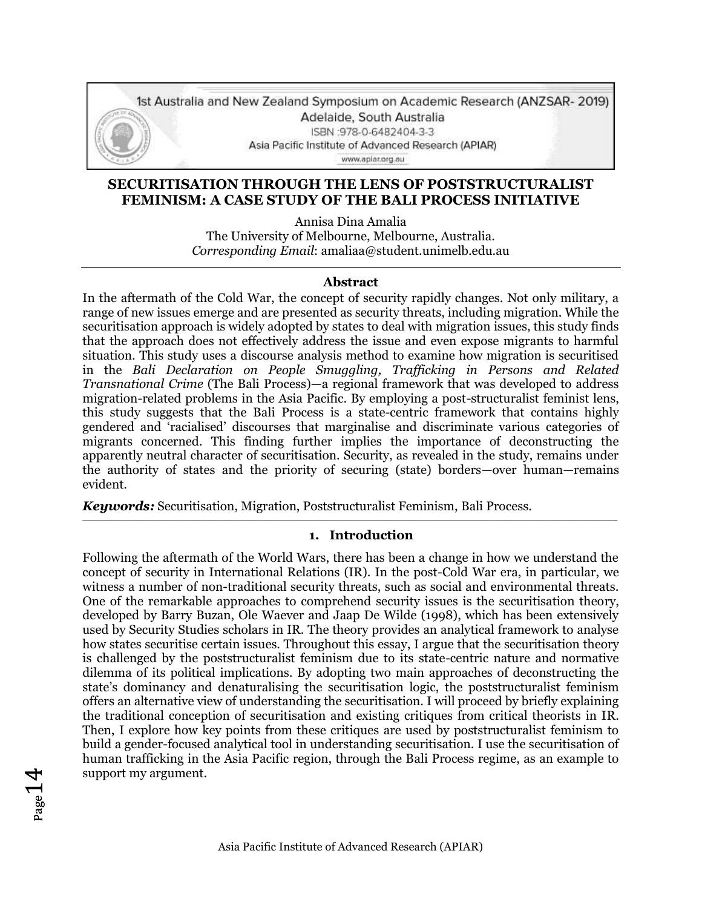

### **SECURITISATION THROUGH THE LENS OF POSTSTRUCTURALIST FEMINISM: A CASE STUDY OF THE BALI PROCESS INITIATIVE**

Annisa Dina Amalia The University of Melbourne, Melbourne, Australia. *Corresponding Email*: amaliaa@student.unimelb.edu.au

#### **Abstract**

In the aftermath of the Cold War, the concept of security rapidly changes. Not only military, a range of new issues emerge and are presented as security threats, including migration. While the securitisation approach is widely adopted by states to deal with migration issues, this study finds that the approach does not effectively address the issue and even expose migrants to harmful situation. This study uses a discourse analysis method to examine how migration is securitised in the *Bali Declaration on People Smuggling, Trafficking in Persons and Related Transnational Crime* (The Bali Process)—a regional framework that was developed to address migration-related problems in the Asia Pacific. By employing a post-structuralist feminist lens, this study suggests that the Bali Process is a state-centric framework that contains highly gendered and 'racialised' discourses that marginalise and discriminate various categories of migrants concerned. This finding further implies the importance of deconstructing the apparently neutral character of securitisation. Security, as revealed in the study, remains under the authority of states and the priority of securing (state) borders—over human—remains evident.

*Keywords:* Securitisation, Migration, Poststructuralist Feminism, Bali Process.

#### **1. Introduction**

\_\_\_\_\_\_\_\_\_\_\_\_\_\_\_\_\_\_\_\_\_\_\_\_\_\_\_\_\_\_\_\_\_\_\_\_\_\_\_\_\_\_\_\_\_\_\_\_\_\_\_\_\_\_\_\_\_\_\_\_\_\_\_\_\_\_\_\_\_\_\_\_\_\_\_\_\_\_\_\_\_\_\_\_\_\_\_\_\_\_\_\_\_\_\_\_\_\_\_\_\_\_\_\_\_\_\_\_\_\_\_\_\_\_\_\_\_\_\_\_\_

Following the aftermath of the World Wars, there has been a change in how we understand the concept of security in International Relations (IR). In the post-Cold War era, in particular, we witness a number of non-traditional security threats, such as social and environmental threats. One of the remarkable approaches to comprehend security issues is the securitisation theory, developed by Barry Buzan, Ole Waever and Jaap De Wilde (1998), which has been extensively used by Security Studies scholars in IR. The theory provides an analytical framework to analyse how states securitise certain issues. Throughout this essay, I argue that the securitisation theory is challenged by the poststructuralist feminism due to its state-centric nature and normative dilemma of its political implications. By adopting two main approaches of deconstructing the state's dominancy and denaturalising the securitisation logic, the poststructuralist feminism offers an alternative view of understanding the securitisation. I will proceed by briefly explaining the traditional conception of securitisation and existing critiques from critical theorists in IR. Then, I explore how key points from these critiques are used by poststructuralist feminism to build a gender-focused analytical tool in understanding securitisation. I use the securitisation of human trafficking in the Asia Pacific region, through the Bali Process regime, as an example to support my argument.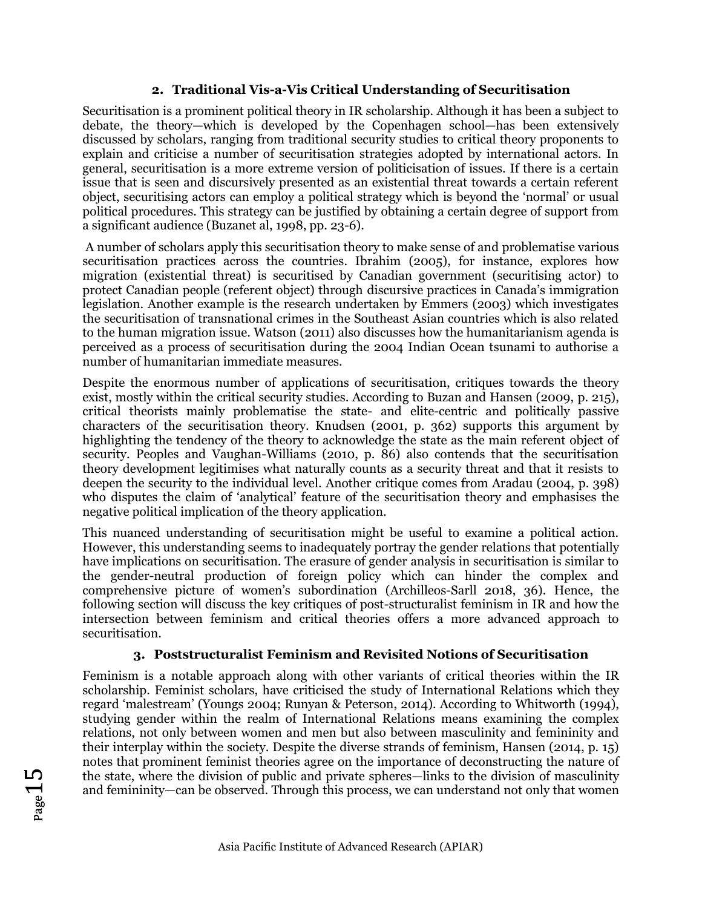# **2. Traditional Vis-a-Vis Critical Understanding of Securitisation**

Securitisation is a prominent political theory in IR scholarship. Although it has been a subject to debate, the theory—which is developed by the Copenhagen school—has been extensively discussed by scholars, ranging from traditional security studies to critical theory proponents to explain and criticise a number of securitisation strategies adopted by international actors. In general, securitisation is a more extreme version of politicisation of issues. If there is a certain issue that is seen and discursively presented as an existential threat towards a certain referent object, securitising actors can employ a political strategy which is beyond the 'normal' or usual political procedures. This strategy can be justified by obtaining a certain degree of support from a significant audience (Buzanet al, 1998, pp. 23-6).

A number of scholars apply this securitisation theory to make sense of and problematise various securitisation practices across the countries. Ibrahim (2005), for instance, explores how migration (existential threat) is securitised by Canadian government (securitising actor) to protect Canadian people (referent object) through discursive practices in Canada's immigration legislation. Another example is the research undertaken by Emmers (2003) which investigates the securitisation of transnational crimes in the Southeast Asian countries which is also related to the human migration issue. Watson (2011) also discusses how the humanitarianism agenda is perceived as a process of securitisation during the 2004 Indian Ocean tsunami to authorise a number of humanitarian immediate measures.

Despite the enormous number of applications of securitisation, critiques towards the theory exist, mostly within the critical security studies. According to Buzan and Hansen (2009, p. 215), critical theorists mainly problematise the state- and elite-centric and politically passive characters of the securitisation theory. Knudsen (2001, p. 362) supports this argument by highlighting the tendency of the theory to acknowledge the state as the main referent object of security. Peoples and Vaughan-Williams (2010, p. 86) also contends that the securitisation theory development legitimises what naturally counts as a security threat and that it resists to deepen the security to the individual level. Another critique comes from Aradau (2004, p. 398) who disputes the claim of 'analytical' feature of the securitisation theory and emphasises the negative political implication of the theory application.

This nuanced understanding of securitisation might be useful to examine a political action. However, this understanding seems to inadequately portray the gender relations that potentially have implications on securitisation. The erasure of gender analysis in securitisation is similar to the gender-neutral production of foreign policy which can hinder the complex and comprehensive picture of women's subordination (Archilleos-Sarll 2018, 36). Hence, the following section will discuss the key critiques of post-structuralist feminism in IR and how the intersection between feminism and critical theories offers a more advanced approach to securitisation.

# **3. Poststructuralist Feminism and Revisited Notions of Securitisation**

Feminism is a notable approach along with other variants of critical theories within the IR scholarship. Feminist scholars, have criticised the study of International Relations which they regard 'malestream' (Youngs 2004; Runyan & Peterson, 2014). According to Whitworth (1994), studying gender within the realm of International Relations means examining the complex relations, not only between women and men but also between masculinity and femininity and their interplay within the society. Despite the diverse strands of feminism, Hansen (2014, p. 15) notes that prominent feminist theories agree on the importance of deconstructing the nature of the state, where the division of public and private spheres—links to the division of masculinity and femininity—can be observed. Through this process, we can understand not only that women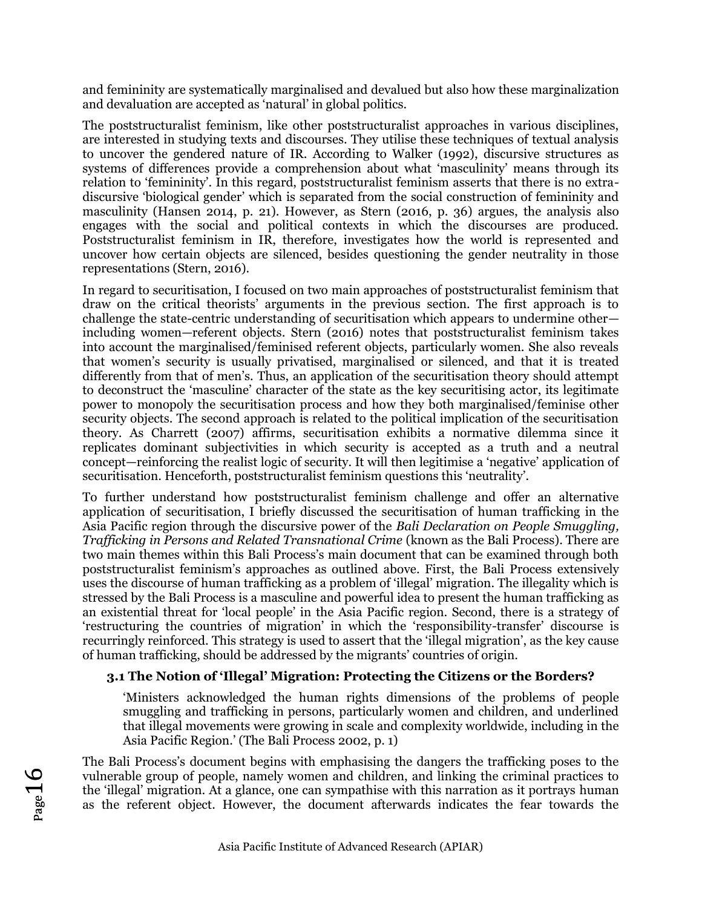and femininity are systematically marginalised and devalued but also how these marginalization and devaluation are accepted as 'natural' in global politics.

The poststructuralist feminism, like other poststructuralist approaches in various disciplines, are interested in studying texts and discourses. They utilise these techniques of textual analysis to uncover the gendered nature of IR. According to Walker (1992), discursive structures as systems of differences provide a comprehension about what 'masculinity' means through its relation to 'femininity'. In this regard, poststructuralist feminism asserts that there is no extradiscursive 'biological gender' which is separated from the social construction of femininity and masculinity (Hansen 2014, p. 21). However, as Stern (2016, p. 36) argues, the analysis also engages with the social and political contexts in which the discourses are produced. Poststructuralist feminism in IR, therefore, investigates how the world is represented and uncover how certain objects are silenced, besides questioning the gender neutrality in those representations (Stern, 2016).

In regard to securitisation, I focused on two main approaches of poststructuralist feminism that draw on the critical theorists' arguments in the previous section. The first approach is to challenge the state-centric understanding of securitisation which appears to undermine other including women—referent objects. Stern (2016) notes that poststructuralist feminism takes into account the marginalised/feminised referent objects, particularly women. She also reveals that women's security is usually privatised, marginalised or silenced, and that it is treated differently from that of men's. Thus, an application of the securitisation theory should attempt to deconstruct the 'masculine' character of the state as the key securitising actor, its legitimate power to monopoly the securitisation process and how they both marginalised/feminise other security objects. The second approach is related to the political implication of the securitisation theory. As Charrett (2007) affirms, securitisation exhibits a normative dilemma since it replicates dominant subjectivities in which security is accepted as a truth and a neutral concept—reinforcing the realist logic of security. It will then legitimise a 'negative' application of securitisation. Henceforth, poststructuralist feminism questions this 'neutrality'.

To further understand how poststructuralist feminism challenge and offer an alternative application of securitisation, I briefly discussed the securitisation of human trafficking in the Asia Pacific region through the discursive power of the *Bali Declaration on People Smuggling, Trafficking in Persons and Related Transnational Crime* (known as the Bali Process). There are two main themes within this Bali Process's main document that can be examined through both poststructuralist feminism's approaches as outlined above. First, the Bali Process extensively uses the discourse of human trafficking as a problem of 'illegal' migration. The illegality which is stressed by the Bali Process is a masculine and powerful idea to present the human trafficking as an existential threat for 'local people' in the Asia Pacific region. Second, there is a strategy of 'restructuring the countries of migration' in which the 'responsibility-transfer' discourse is recurringly reinforced. This strategy is used to assert that the 'illegal migration', as the key cause of human trafficking, should be addressed by the migrants' countries of origin.

# **3.1 The Notion of 'Illegal' Migration: Protecting the Citizens or the Borders?**

'Ministers acknowledged the human rights dimensions of the problems of people smuggling and trafficking in persons, particularly women and children, and underlined that illegal movements were growing in scale and complexity worldwide, including in the Asia Pacific Region.' (The Bali Process 2002, p. 1)

The Bali Process's document begins with emphasising the dangers the trafficking poses to the vulnerable group of people, namely women and children, and linking the criminal practices to the 'illegal' migration. At a glance, one can sympathise with this narration as it portrays human as the referent object. However, the document afterwards indicates the fear towards the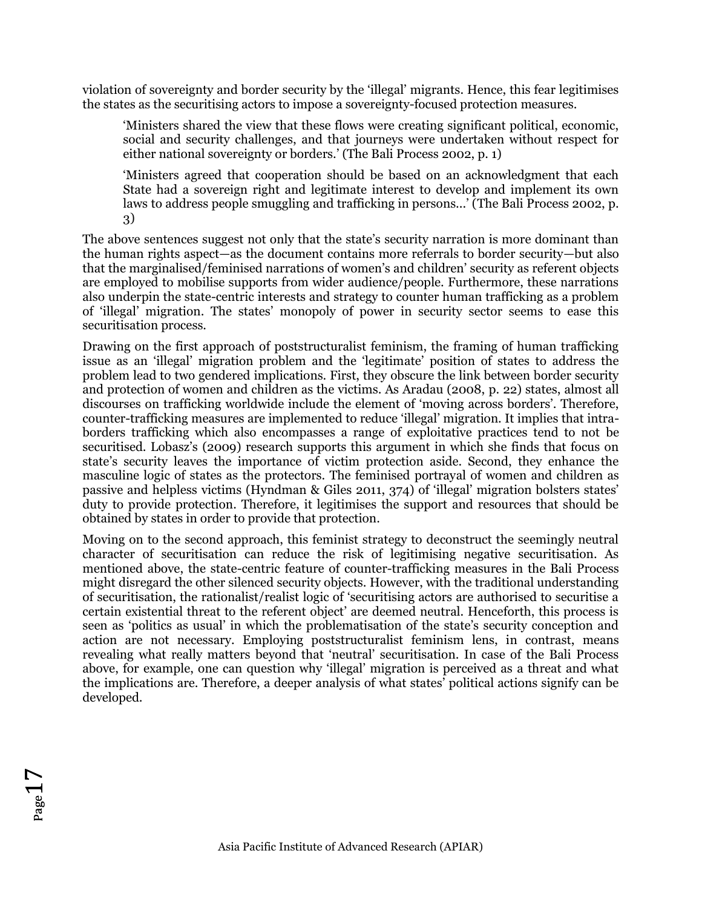violation of sovereignty and border security by the 'illegal' migrants. Hence, this fear legitimises the states as the securitising actors to impose a sovereignty-focused protection measures.

'Ministers shared the view that these flows were creating significant political, economic, social and security challenges, and that journeys were undertaken without respect for either national sovereignty or borders.' (The Bali Process 2002, p. 1)

'Ministers agreed that cooperation should be based on an acknowledgment that each State had a sovereign right and legitimate interest to develop and implement its own laws to address people smuggling and trafficking in persons...' (The Bali Process 2002, p. 3)

The above sentences suggest not only that the state's security narration is more dominant than the human rights aspect—as the document contains more referrals to border security—but also that the marginalised/feminised narrations of women's and children' security as referent objects are employed to mobilise supports from wider audience/people. Furthermore, these narrations also underpin the state-centric interests and strategy to counter human trafficking as a problem of 'illegal' migration. The states' monopoly of power in security sector seems to ease this securitisation process.

Drawing on the first approach of poststructuralist feminism, the framing of human trafficking issue as an 'illegal' migration problem and the 'legitimate' position of states to address the problem lead to two gendered implications. First, they obscure the link between border security and protection of women and children as the victims. As Aradau (2008, p. 22) states, almost all discourses on trafficking worldwide include the element of 'moving across borders'. Therefore, counter-trafficking measures are implemented to reduce 'illegal' migration. It implies that intraborders trafficking which also encompasses a range of exploitative practices tend to not be securitised. Lobasz's (2009) research supports this argument in which she finds that focus on state's security leaves the importance of victim protection aside. Second, they enhance the masculine logic of states as the protectors. The feminised portrayal of women and children as passive and helpless victims (Hyndman & Giles 2011, 374) of 'illegal' migration bolsters states' duty to provide protection. Therefore, it legitimises the support and resources that should be obtained by states in order to provide that protection.

Moving on to the second approach, this feminist strategy to deconstruct the seemingly neutral character of securitisation can reduce the risk of legitimising negative securitisation. As mentioned above, the state-centric feature of counter-trafficking measures in the Bali Process might disregard the other silenced security objects. However, with the traditional understanding of securitisation, the rationalist/realist logic of 'securitising actors are authorised to securitise a certain existential threat to the referent object' are deemed neutral. Henceforth, this process is seen as 'politics as usual' in which the problematisation of the state's security conception and action are not necessary. Employing poststructuralist feminism lens, in contrast, means revealing what really matters beyond that 'neutral' securitisation. In case of the Bali Process above, for example, one can question why 'illegal' migration is perceived as a threat and what the implications are. Therefore, a deeper analysis of what states' political actions signify can be developed.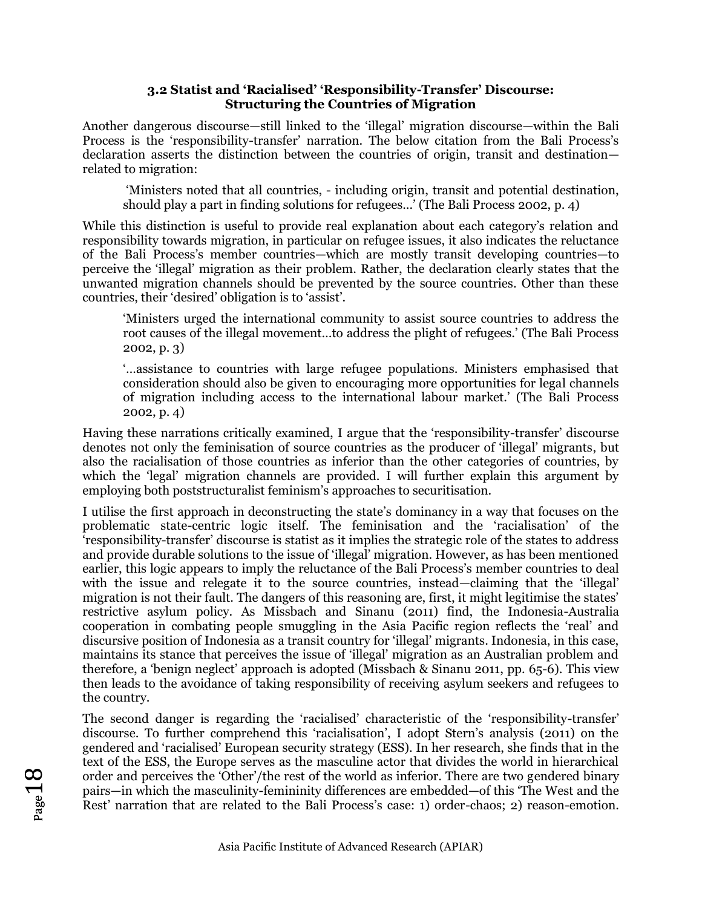### **3.2 Statist and 'Racialised' 'Responsibility-Transfer' Discourse: Structuring the Countries of Migration**

Another dangerous discourse—still linked to the 'illegal' migration discourse—within the Bali Process is the 'responsibility-transfer' narration. The below citation from the Bali Process's declaration asserts the distinction between the countries of origin, transit and destination related to migration:

'Ministers noted that all countries, - including origin, transit and potential destination, should play a part in finding solutions for refugees...' (The Bali Process 2002, p. 4)

While this distinction is useful to provide real explanation about each category's relation and responsibility towards migration, in particular on refugee issues, it also indicates the reluctance of the Bali Process's member countries—which are mostly transit developing countries—to perceive the 'illegal' migration as their problem. Rather, the declaration clearly states that the unwanted migration channels should be prevented by the source countries. Other than these countries, their 'desired' obligation is to 'assist'.

'Ministers urged the international community to assist source countries to address the root causes of the illegal movement…to address the plight of refugees.' (The Bali Process 2002, p. 3)

'…assistance to countries with large refugee populations. Ministers emphasised that consideration should also be given to encouraging more opportunities for legal channels of migration including access to the international labour market.' (The Bali Process 2002, p. 4)

Having these narrations critically examined, I argue that the 'responsibility-transfer' discourse denotes not only the feminisation of source countries as the producer of 'illegal' migrants, but also the racialisation of those countries as inferior than the other categories of countries, by which the 'legal' migration channels are provided. I will further explain this argument by employing both poststructuralist feminism's approaches to securitisation.

I utilise the first approach in deconstructing the state's dominancy in a way that focuses on the problematic state-centric logic itself. The feminisation and the 'racialisation' of the 'responsibility-transfer' discourse is statist as it implies the strategic role of the states to address and provide durable solutions to the issue of 'illegal' migration. However, as has been mentioned earlier, this logic appears to imply the reluctance of the Bali Process's member countries to deal with the issue and relegate it to the source countries, instead—claiming that the 'illegal' migration is not their fault. The dangers of this reasoning are, first, it might legitimise the states' restrictive asylum policy. As Missbach and Sinanu (2011) find, the Indonesia-Australia cooperation in combating people smuggling in the Asia Pacific region reflects the 'real' and discursive position of Indonesia as a transit country for 'illegal' migrants. Indonesia, in this case, maintains its stance that perceives the issue of 'illegal' migration as an Australian problem and therefore, a 'benign neglect' approach is adopted (Missbach & Sinanu 2011, pp. 65-6). This view then leads to the avoidance of taking responsibility of receiving asylum seekers and refugees to the country.

The second danger is regarding the 'racialised' characteristic of the 'responsibility-transfer' discourse. To further comprehend this 'racialisation', I adopt Stern's analysis (2011) on the gendered and 'racialised' European security strategy (ESS). In her research, she finds that in the text of the ESS, the Europe serves as the masculine actor that divides the world in hierarchical order and perceives the 'Other'/the rest of the world as inferior. There are two gendered binary pairs—in which the masculinity-femininity differences are embedded—of this 'The West and the Rest' narration that are related to the Bali Process's case: 1) order-chaos; 2) reason-emotion.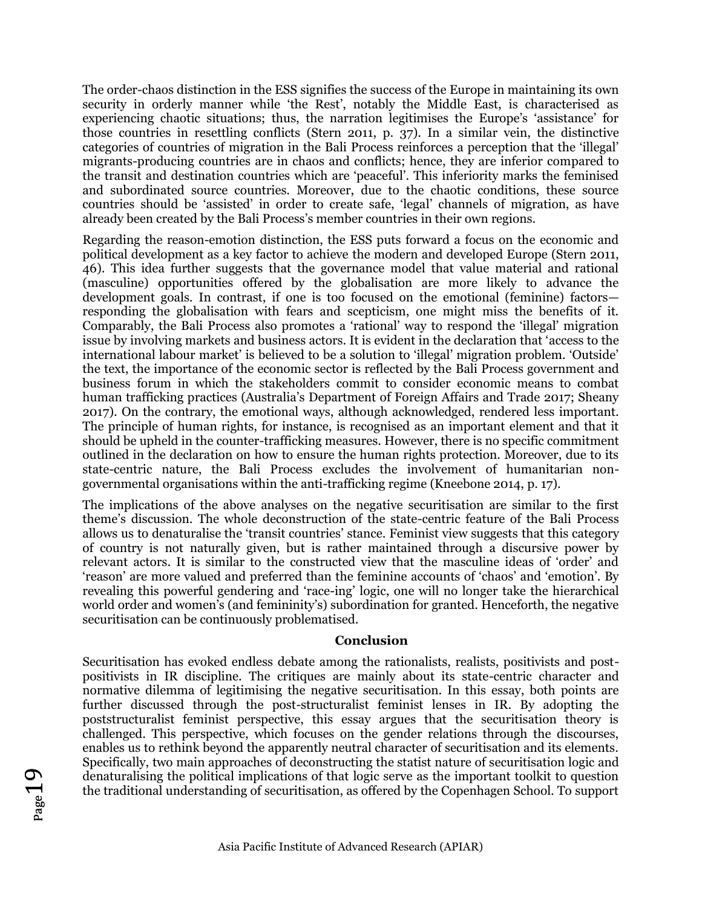The order-chaos distinction in the ESS signifies the success of the Europe in maintaining its own security in orderly manner while 'the Rest', notably the Middle East, is characterised as experiencing chaotic situations; thus, the narration legitimises the Europe's 'assistance' for those countries in resettling conflicts (Stern 2011, p. 37). In a similar vein, the distinctive categories of countries of migration in the Bali Process reinforces a perception that the 'illegal' migrants-producing countries are in chaos and conflicts; hence, they are inferior compared to the transit and destination countries which are 'peaceful'. This inferiority marks the feminised and subordinated source countries. Moreover, due to the chaotic conditions, these source countries should be 'assisted' in order to create safe, 'legal' channels of migration, as have already been created by the Bali Process's member countries in their own regions.

Regarding the reason-emotion distinction, the ESS puts forward a focus on the economic and political development as a key factor to achieve the modern and developed Europe (Stern 2011, 46). This idea further suggests that the governance model that value material and rational (masculine) opportunities offered by the globalisation are more likely to advance the development goals. In contrast, if one is too focused on the emotional (feminine) factors responding the globalisation with fears and scepticism, one might miss the benefits of it. Comparably, the Bali Process also promotes a 'rational' way to respond the 'illegal' migration issue by involving markets and business actors. It is evident in the declaration that 'access to the international labour market' is believed to be a solution to 'illegal' migration problem. 'Outside' the text, the importance of the economic sector is reflected by the Bali Process government and business forum in which the stakeholders commit to consider economic means to combat human trafficking practices (Australia's Department of Foreign Affairs and Trade 2017; Sheany 2017). On the contrary, the emotional ways, although acknowledged, rendered less important. The principle of human rights, for instance, is recognised as an important element and that it should be upheld in the counter-trafficking measures. However, there is no specific commitment outlined in the declaration on how to ensure the human rights protection. Moreover, due to its state-centric nature, the Bali Process excludes the involvement of humanitarian nongovernmental organisations within the anti-trafficking regime (Kneebone 2014, p. 17).

The implications of the above analyses on the negative securitisation are similar to the first theme's discussion. The whole deconstruction of the state-centric feature of the Bali Process allows us to denaturalise the 'transit countries' stance. Feminist view suggests that this category of country is not naturally given, but is rather maintained through a discursive power by relevant actors. It is similar to the constructed view that the masculine ideas of 'order' and 'reason' are more valued and preferred than the feminine accounts of 'chaos' and 'emotion'. By revealing this powerful gendering and 'race-ing' logic, one will no longer take the hierarchical world order and women's (and femininity's) subordination for granted. Henceforth, the negative securitisation can be continuously problematised.

### **Conclusion**

Securitisation has evoked endless debate among the rationalists, realists, positivists and postpositivists in IR discipline. The critiques are mainly about its state-centric character and normative dilemma of legitimising the negative securitisation. In this essay, both points are further discussed through the post-structuralist feminist lenses in IR. By adopting the poststructuralist feminist perspective, this essay argues that the securitisation theory is challenged. This perspective, which focuses on the gender relations through the discourses, enables us to rethink beyond the apparently neutral character of securitisation and its elements. Specifically, two main approaches of deconstructing the statist nature of securitisation logic and denaturalising the political implications of that logic serve as the important toolkit to question the traditional understanding of securitisation, as offered by the Copenhagen School. To support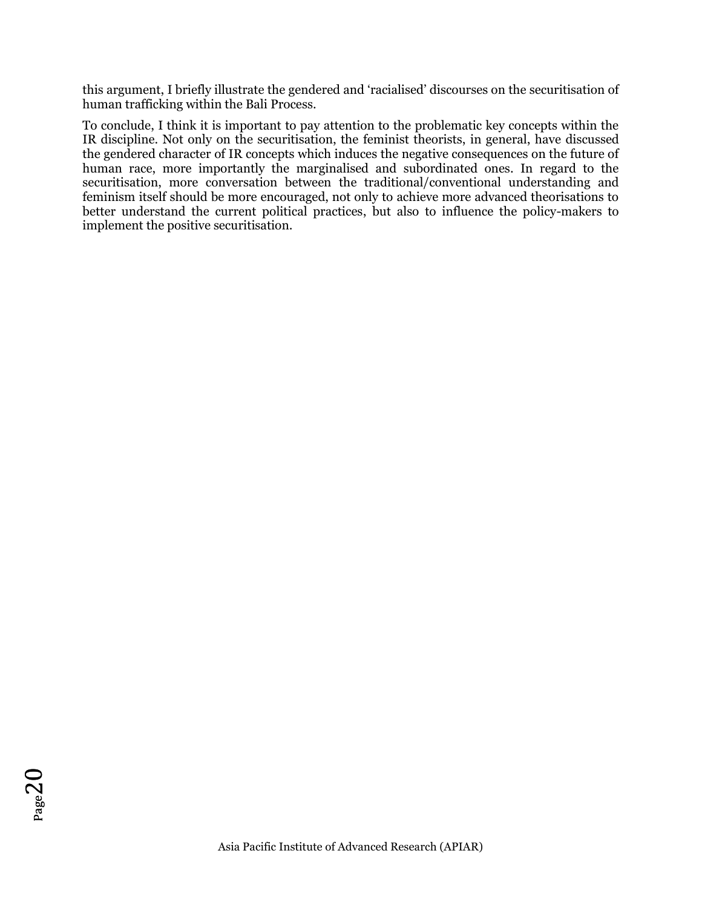this argument, I briefly illustrate the gendered and 'racialised' discourses on the securitisation of human trafficking within the Bali Process.

To conclude, I think it is important to pay attention to the problematic key concepts within the IR discipline. Not only on the securitisation, the feminist theorists, in general, have discussed the gendered character of IR concepts which induces the negative consequences on the future of human race, more importantly the marginalised and subordinated ones. In regard to the securitisation, more conversation between the traditional/conventional understanding and feminism itself should be more encouraged, not only to achieve more advanced theorisations to better understand the current political practices, but also to influence the policy-makers to implement the positive securitisation.

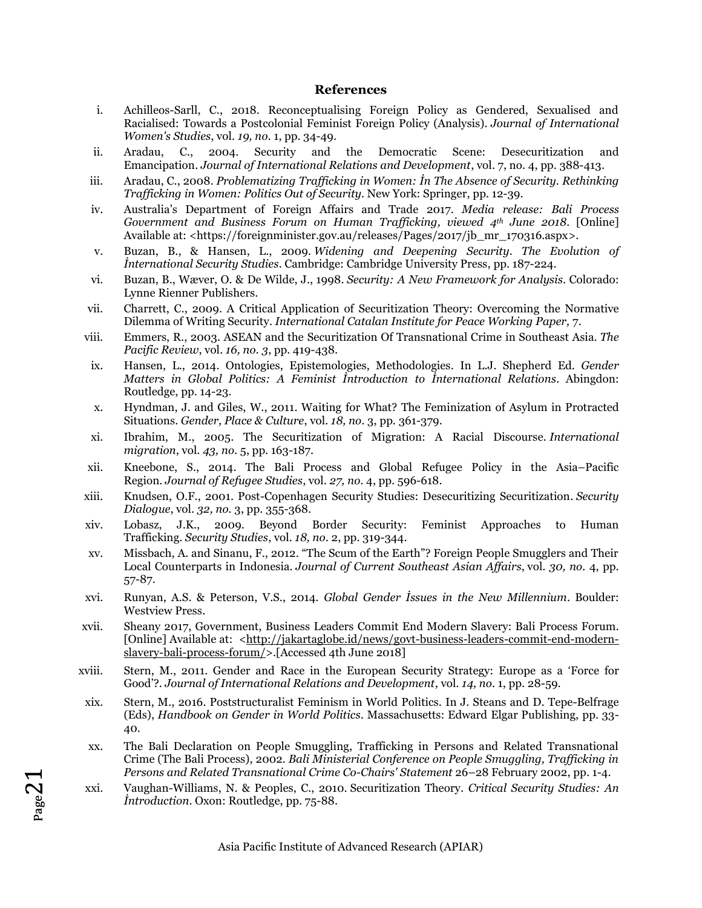#### **References**

- i. Achilleos-Sarll, C., 2018. Reconceptualising Foreign Policy as Gendered, Sexualised and Racialised: Towards a Postcolonial Feminist Foreign Policy (Analysis). *Journal of International Women's Studies*, vol. *19, no.* 1, pp. 34-49.
- ii. Aradau, C., 2004. Security and the Democratic Scene: Desecuritization and Emancipation. *Journal of International Relations and Development*, vol. 7, no. 4, pp. 388-413.
- iii. Aradau, C., 2008. *Problematizing Trafficking in Women: İn The Absence of Security. Rethinking Trafficking in Women: Politics Out of Security*. New York: Springer, pp. 12-39.
- iv. Australia's Department of Foreign Affairs and Trade 2017. *Media release: Bali Process Government and Business Forum on Human Trafficking, viewed 4th June 2018.* [Online] Available at: <https://foreignminister.gov.au/releases/Pages/2017/jb\_mr\_170316.aspx>.
- v. Buzan, B., & Hansen, L., 2009. *Widening and Deepening Security*. *The Evolution of İnternational Security Studies*. Cambridge: Cambridge University Press, pp. 187-224.
- vi. Buzan, B., Wæver, O. & De Wilde, J., 1998. *Security: A New Framework for Analysis*. Colorado: Lynne Rienner Publishers.
- vii. Charrett, C., 2009. A Critical Application of Securitization Theory: Overcoming the Normative Dilemma of Writing Security. *International Catalan Institute for Peace Working Paper,* 7.
- viii. Emmers, R., 2003. ASEAN and the Securitization Of Transnational Crime in Southeast Asia. *The Pacific Review*, vol. *16, no. 3*, pp. 419-438.
- ix. Hansen, L., 2014. Ontologies, Epistemologies, Methodologies. In L.J. Shepherd Ed. *Gender Matters in Global Politics: A Feminist İntroduction to İnternational Relations*. Abingdon: Routledge, pp. 14-23.
- x. Hyndman, J. and Giles, W., 2011. Waiting for What? The Feminization of Asylum in Protracted Situations. *Gender, Place & Culture*, vol. *18, no.* 3, pp. 361-379.
- xi. Ibrahim, M., 2005. The Securitization of Migration: A Racial Discourse. *International migration*, vol. *43, no.* 5, pp. 163-187.
- xii. Kneebone, S., 2014. The Bali Process and Global Refugee Policy in the Asia–Pacific Region. *Journal of Refugee Studies*, vol. *27, no.* 4, pp. 596-618.
- xiii. Knudsen, O.F., 2001. Post-Copenhagen Security Studies: Desecuritizing Securitization. *Security Dialogue*, vol. *32, no.* 3, pp. 355-368.
- xiv. Lobasz, J.K., 2009. Beyond Border Security: Feminist Approaches to Human Trafficking. *Security Studies*, vol. *18, no.* 2, pp. 319-344.
- xv. Missbach, A. and Sinanu, F., 2012. "The Scum of the Earth"? Foreign People Smugglers and Their Local Counterparts in Indonesia. *Journal of Current Southeast Asian Affairs*, vol. *30, no.* 4, pp. 57-87.
- xvi. Runyan, A.S. & Peterson, V.S., 2014. *Global Gender İssues in the New Millennium*. Boulder: Westview Press.
- xvii. Sheany 2017, Government, Business Leaders Commit End Modern Slavery: Bali Process Forum. [Online] Available at: [<http://jakartaglobe.id/news/govt-business-leaders-commit-end-modern](http://jakartaglobe.id/news/govt-business-leaders-commit-end-modern-slavery-bali-process-forum/)[slavery-bali-process-forum/>](http://jakartaglobe.id/news/govt-business-leaders-commit-end-modern-slavery-bali-process-forum/).[Accessed 4th June 2018]
- xviii. Stern, M., 2011. Gender and Race in the European Security Strategy: Europe as a 'Force for Good'?. *Journal of International Relations and Development*, vol. *14, no.* 1, pp. 28-59.
- xix. Stern, M., 2016. Poststructuralist Feminism in World Politics. In J. Steans and D. Tepe-Belfrage (Eds), *Handbook on Gender in World Politics.* Massachusetts: Edward Elgar Publishing, pp. 33- 40.
- xx. The Bali Declaration on People Smuggling, Trafficking in Persons and Related Transnational Crime (The Bali Process), 2002. *Bali Ministerial Conference on People Smuggling, Trafficking in Persons and Related Transnational Crime Co-Chairs' Statement* 26–28 February 2002, pp. 1-4.
- xxi. Vaughan-Williams, N. & Peoples, C., 2010. Securitization Theory*. Critical Security Studies: An İntroduction*. Oxon: Routledge, pp. 75-88.

 $_{\rm Page}$ 21